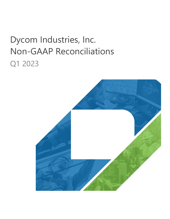# Dycom Industries, Inc. Non-GAAP Reconciliations Q1 2023

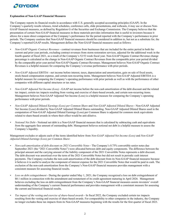

#### **Explanation of Non-GAAP Financial Measures**

The Company reports its financial results in accordance with U.S. generally accepted accounting principles (GAAP). In the Company's quarterly results releases, trend schedules, conference calls, slide presentations, and webcasts, it may use or discuss Non-GAAP financial measures, as defined by Regulation G of the Securities and Exchange Commission. The Company believes that the presentation of certain Non-GAAP financial measures in these materials provides information that is useful to investors because it allows for a more direct comparison of the Company's performance for the period reported with the Company's performance in prior periods. The Company cautions that Non-GAAP financial measures should be considered in addition to, but not as a substitute for, the Company's reported GAAP results. Management defines the Non-GAAP financial measures used as follows:

- *• Non-GAAP Organic Contract Revenues* contract revenues from businesses that are included for the entire period in both the current and prior year periods, excluding contract revenues from storm restoration services, adjusted for the additional week in the fourth quarter of fiscal 2021, as a result of the Company's 52/53 week fiscal year. Non-GAAP Organic Contract Revenue change percentage is calculated as the change in Non-GAAP Organic Contract Revenues from the comparable prior year period divided by the comparable prior year period Non-GAAP Organic Contract Revenues. Management believes Non-GAAP Organic Contract Revenues is a helpful measure for comparing the Company's revenue performance with prior periods.
- *• Non-GAAP Adjusted EBITDA* net income before interest, taxes, depreciation and amortization, gain on sale of fixed assets, stock-based compensation expense, and certain non-recurring items. Management believes Non-GAAP Adjusted EBITDA is a helpful measure for comparing the Company's operating performance with prior periods as well as with the performance of other companies with different capital structures or tax rates.
- *• Non-GAAP Adjusted Net Income (Loss)*  GAAP net income before the non-cash amortization of the debt discount and the related tax impact, certain tax impacts resulting from vesting and exercise of share-based awards, and certain non-recurring items. Management believes Non-GAAP Adjusted Net Income (Loss) is a helpful measure for comparing the Company's operating performance with prior periods.
- *• Non-GAAP Adjusted Diluted Earnings (Loss) per Common Share* and *Non-GAAP Adjusted Diluted Shares*  Non-GAAP Adjusted Net Income (Loss) divided by Non-GAAP Adjusted Diluted Shares outstanding. Non-GAAP Adjusted Diluted Shares used in the computation of Non-GAAP Adjusted Diluted Earnings (Loss) per Common Share is adjusted for common stock equivalents related to share-based awards in where their effect would be anti-dilutive.
- *• Notional Net Debt* Notional net debt is a Non-GAAP financial measure that is calculated by subtracting cash and equivalents from the aggregate face amount of outstanding debt. Management believes notional net debt is a helpful measure to assess the Company's liquidity.

Management excludes or adjusts each of the items identified below from *Non-GAAP Adjusted Net Income (Loss)* and *Non-GAAP Adjusted Diluted Earnings (Loss) per Common Share*:

- *• Non-cash amortization of debt discount on 2021 Convertible Notes* The Company's 0.75% convertible senior notes due September 2021 (the "2021 Convertible Notes") were allocated between debt and equity components. The difference between the principal amount and the carrying amount of the liability component of the 2021 Convertible Notes represents a debt discount. The debt discount was amortized over the term of the 2021 Convertible Notes but did not result in periodic cash interest payments. The Company excludes the non-cash amortization of the debt discount from its Non-GAAP financial measures because it believes it is useful to analyze the component of interest expense for the 2021 Convertible Notes that would be paid in cash. The exclusion of the non-cash amortization from the Company's Non-GAAP financial measures provides management with a consistent measure for assessing financial results.
- *• Loss on debt extinguishment* During the quarter ended May 1, 2021, the Company recognized a loss on debt extinguishment of \$0.1 million in connection with the amendment and restatement of its credit agreement maturing in April 2026. Management believes excluding the loss on debt extinguishment from the Company's Non-GAAP financial measures assists investors' overall understanding of the Company's current financial performance and provides management with a consistent measure for assessing the current and historical financial results.
- *• Tax impact of the vesting and exercise of share-based awards* In fiscal 2022, the Company excluded certain tax impacts resulting from the vesting and exercise of share-based awards. For comparability to other companies in the industry, the Company no longer excludes these tax impacts from its Non-GAAP measures beginning with the results for the first quarter of fiscal 2023.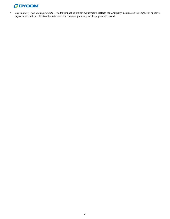# **ODYCOM**

*• Tax impact of pre-tax adjustments* - The tax impact of pre-tax adjustments reflects the Company's estimated tax impact of specific adjustments and the effective tax rate used for financial planning for the applicable period.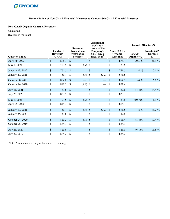

## **Non-GAAP Organic Contract Revenues**

Unaudited (Dollars in millions)

|                      |                                              |       | <b>Additional</b><br>week as a                           |                 |                                                                        |               |                                         | Growth (Decline)% |                       |                                      |
|----------------------|----------------------------------------------|-------|----------------------------------------------------------|-----------------|------------------------------------------------------------------------|---------------|-----------------------------------------|-------------------|-----------------------|--------------------------------------|
| <b>Quarter Ended</b> | Contract<br><b>Revenues -</b><br><b>GAAP</b> |       | <b>Revenues</b><br>from storm<br>restoration<br>services |                 | result of the<br>Company's<br>$52/53$ week<br>fiscal year <sup>1</sup> |               | Non-GAAP-<br>Organic<br><b>Revenues</b> |                   | $GAAP -$<br>Organic % | <b>Non-GAAP</b><br>- Organic<br>$\%$ |
| April 30, 2022       | \$                                           | 876.3 | $\sqrt{S}$                                               |                 | \$                                                                     |               | $\mathcal{S}$                           | 876.3             | 20.5 %                | 21.1 %                               |
| May 1, 2021          | \$                                           | 727.5 | <sup>\$</sup>                                            | $(3.9)$ \$      |                                                                        |               | \$                                      | 723.6             |                       |                                      |
| January 29, 2022     | $\mathsf{\$}$                                | 761.5 | $\mathcal{S}$                                            |                 | $\mathcal{S}$                                                          |               | $\boldsymbol{\mathsf{S}}$               | 761.5             | $1.4\%$               | 10.1 %                               |
| January 20, 2021     | \$                                           | 750.7 | <sup>S</sup>                                             | $(5.7)$ \$      |                                                                        | (53.2)        | $\mathcal{S}$                           | 691.8             |                       |                                      |
| October 30, 2021     | $\mathbb{S}$                                 | 854.0 | $\mathbb{S}$                                             |                 | $\mathcal{S}$                                                          |               | \$                                      | 854.0             | 5.4 %                 | $6.6\%$                              |
| October 24, 2020     | \$                                           | 810.3 | <sup>\$</sup>                                            | $(8.9)$ \$      |                                                                        |               | \$                                      | 801.4             |                       |                                      |
| July 31, 2021        | $\mathcal{S}$                                | 787.6 | $\mathcal{S}$                                            |                 | $\sqrt{3}$                                                             |               | $\sqrt{\ }$                             | 787.6             | (4.4)%                | (4.4)%                               |
| July 25, 2020        | \$                                           | 823.9 | $\mathcal{S}$                                            |                 | $\mathcal{S}$                                                          |               | \$                                      | 823.9             |                       |                                      |
| May 1, 2021          | $\mathcal{S}$                                | 727.5 | $\mathcal{S}$                                            | $(3.9)$ \$      |                                                                        |               | $\mathsf{\$}$                           | 723.6             | $(10.7)\%$            | $(11.1)\%$                           |
| April 25, 2020       | \$                                           | 814.3 | <sup>\$</sup>                                            |                 | \$                                                                     |               | \$                                      | 814.3             |                       |                                      |
| January 30, 2021     | $\mathcal{S}$                                | 750.7 | $\mathcal{S}$                                            | $(5.7)$ \$      |                                                                        | $(53.2)$ \$   |                                         | 691.8             | $1.8 \%$              | $(6.2)\%$                            |
| January 25, 2020     | \$                                           | 737.6 | \$                                                       |                 | $\mathcal{S}$                                                          | $\frac{1}{1}$ | $\boldsymbol{\mathsf{S}}$               | 737.6             |                       |                                      |
| October 24, 2020     | $\mathbb{S}$                                 | 810.3 | $\mathcal{S}$                                            | $(8.9)$ \$      |                                                                        |               | $\mathsf{\$}$                           | 801.4             | $(8.4)\%$             | $(9.4)\%$                            |
| October 26, 2019     | \$                                           | 884.1 | \$                                                       |                 | \$                                                                     |               | \$                                      | 884.1             |                       |                                      |
| July 25, 2020        | \$                                           | 823.9 | $\mathbb{S}$                                             |                 | $\mathcal{S}$                                                          |               | $\boldsymbol{\mathsf{S}}$               | 823.9             | $(6.8)\%$             | $(6.8)\%$                            |
| July 27, 2019        | \$                                           | 884.2 | \$                                                       | $\qquad \qquad$ | $\mathcal{S}$                                                          |               | \$                                      | 884.2             |                       |                                      |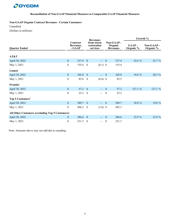

#### **Non-GAAP Organic Contract Revenues - Certain Customers**

Unaudited

(Dollars in millions)

|                                                 |                           | Contract<br><b>Revenues</b><br>- GAAP |                    | <b>Revenues</b>                       |               |                                         | Growth %                  |                        |  |
|-------------------------------------------------|---------------------------|---------------------------------------|--------------------|---------------------------------------|---------------|-----------------------------------------|---------------------------|------------------------|--|
| <b>Quarter Ended</b>                            |                           |                                       |                    | from storm<br>restoration<br>services |               | Non-GAAP-<br>Organic<br><b>Revenues</b> | <b>GAAP-</b><br>Organic % | Non-GAAP-<br>Organic % |  |
| AT&T                                            |                           |                                       |                    |                                       |               |                                         |                           |                        |  |
| April 30, 2022                                  | $\mathsf{\$}$             | 237.4                                 | $\mathcal{S}$      |                                       | \$            | 237.4                                   | 52.6 %                    | 52.7 %                 |  |
| May 1, 2021                                     | \$                        | 155.6                                 | $\mathcal{S}$      | $(0.1)$ \$                            |               | 155.4                                   |                           |                        |  |
| Lumen                                           |                           |                                       |                    |                                       |               |                                         |                           |                        |  |
| April 30, 2022                                  | $\mathsf{\$}$             | 102.8                                 | <b>S</b>           |                                       | $\mathcal{S}$ | 102.8                                   | 19.8 %                    | 20.3 %                 |  |
| May 1, 2021                                     | \$                        | 85.8                                  | <sup>\$</sup>      | $(0.4)$ \$                            |               | 85.5                                    |                           |                        |  |
| Frontier                                        |                           |                                       |                    |                                       |               |                                         |                           |                        |  |
| April 30, 2022                                  | $\mathsf{\$}$             | $57.2$ \$                             |                    |                                       | $\mathcal{S}$ | 57.2                                    | 127.1 %                   | 127.1 %                |  |
| May 1, 2021                                     | \$                        | 25.2                                  | $\mathbf{\hat{s}}$ |                                       | $\mathcal{S}$ | 25.2                                    |                           |                        |  |
| Top 5 Customers <sup>2</sup>                    |                           |                                       |                    |                                       |               |                                         |                           |                        |  |
| April 30, 2022                                  | $\mathsf{\$}$             | 589.7                                 | <b>S</b>           |                                       | $\sqrt{S}$    | 589.7                                   | 18.8 %                    | 19.8 %                 |  |
| May 1, 2021                                     | \$                        | 496.2                                 | $\mathbb{S}$       | $(3.8)$ \$                            |               | 492.3                                   |                           |                        |  |
| All Other Customers (excluding Top 5 Customers) |                           |                                       |                    |                                       |               |                                         |                           |                        |  |
| April 30, 2022                                  | $\boldsymbol{\mathsf{S}}$ | 286.6                                 | $\mathcal{S}$      |                                       | $\mathcal{S}$ | 286.6                                   | 23.9 %                    | 23.9 %                 |  |
| May 1, 2021                                     | \$                        | 231.3                                 | \$                 |                                       | \$            | 231.3                                   |                           |                        |  |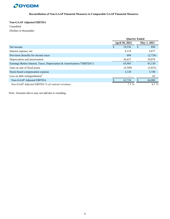

## **Non-GAAP Adjusted EBITDA**

Unaudited (Dollars in thousands)

|                                                                         | <b>Quarter Ended</b> |                |             |         |  |
|-------------------------------------------------------------------------|----------------------|----------------|-------------|---------|--|
|                                                                         |                      | April 30, 2022 | May 1, 2021 |         |  |
| Net income                                                              | S                    | 19,536         | \$          | 898     |  |
| Interest expense, net                                                   |                      | 9,118          |             | 5,877   |  |
| Provision (benefit) for income taxes                                    |                      | 694            |             | (2,724) |  |
| Depreciation and amortization                                           |                      | 36,637         |             | 39,079  |  |
| Earnings Before Interest, Taxes, Depreciation & Amortization ("EBITDA") |                      | 65,985         |             | 43,130  |  |
| Gain on sale of fixed assets                                            |                      | (5,389)        |             | (2,852) |  |
| Stock-based compensation expense                                        |                      | 3,128          |             | 3,740   |  |
| Loss on debt extinguishment <sup>3</sup>                                |                      |                |             | 62      |  |
| Non-GAAP Adjusted EBITDA                                                |                      | 63,724         |             | 44,080  |  |
| Non-GAAP Adjusted EBITDA % of contract revenues                         |                      | 7.3%           |             | 6.1%    |  |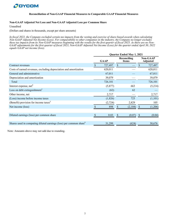

#### **Non-GAAP Adjusted Net Loss and Non-GAAP Adjusted Loss per Common Share**

Unaudited

(Dollars and shares in thousands, except per share amounts)

*In fiscal 2022, the Company excluded certain tax impacts from the vesting and exercise of share-based awards when calculating Non-GAAP Adjusted Net Income (Loss). For comparability to other companies in the industry, the Company no longer excludes these tax impacts from its Non-GAAP measures beginning with the results for the first quarter of fiscal 2023. As there are no Non-GAAP adjustments for the first quarter of fiscal 2023, Non-GAAP Adjusted Net Income (Loss) for the quarter ended April 30, 2022 equals GAAP net income (loss).*

|                                                                                | <b>Quarter Ended May 1, 2021</b> |                             |         |                             |         |  |
|--------------------------------------------------------------------------------|----------------------------------|-----------------------------|---------|-----------------------------|---------|--|
|                                                                                | <b>GAAP</b>                      | Reconciling<br><b>Items</b> |         | <b>Non-GAAP</b><br>Adjusted |         |  |
| Contract revenues                                                              | \$<br>727,497                    | $\mathcal{S}$               |         |                             | 727,497 |  |
| Costs of earned revenues, excluding depreciation and amortization              | 620,011                          |                             |         |                             | 620,011 |  |
| General and administrative                                                     | 67,011                           |                             |         |                             | 67,011  |  |
| Depreciation and amortization                                                  | 39,079                           |                             |         |                             | 39,079  |  |
| Total                                                                          | 726,101                          |                             |         |                             | 726,101 |  |
| Interest expense, net <sup>4</sup>                                             | (5,877)                          |                             | 663     |                             | (5,214) |  |
| Loss on debt extinguishment <sup>3</sup>                                       | (62)                             |                             | 62      |                             |         |  |
| Other income, net                                                              | 2,717                            |                             |         |                             | 2,717   |  |
| (Loss) income before income taxes                                              | (1,826)                          |                             | 725     |                             | (1,101) |  |
| (Benefit) provision for income taxes <sup>5</sup>                              | (2, 724)                         |                             | 2,829   |                             | 105     |  |
| Net income (loss)                                                              | 898                              |                             | (2,104) |                             | (1,206) |  |
|                                                                                |                                  |                             |         |                             |         |  |
| Diluted earnings (loss) per common share                                       | 0.03                             |                             | (0.07)  |                             | (0.04)  |  |
|                                                                                |                                  |                             |         |                             |         |  |
| Shares used in computing diluted earnings (loss) per common share <sup>6</sup> | 31,299                           |                             | (624)   |                             | 30,676  |  |
|                                                                                |                                  |                             |         |                             |         |  |